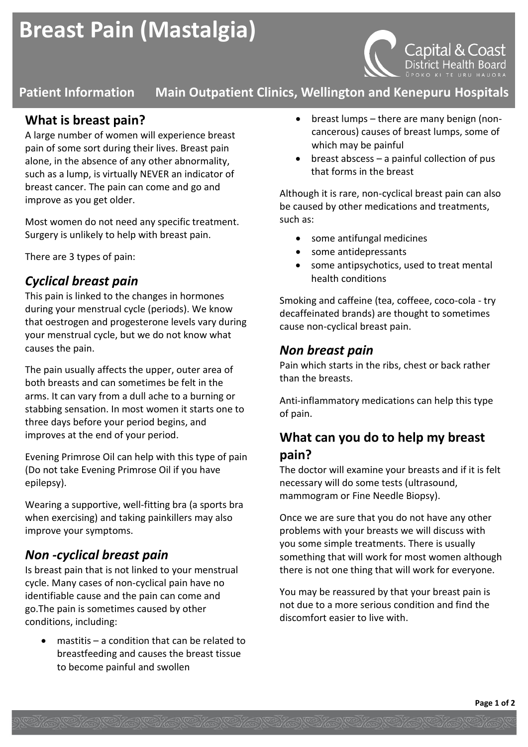# **Breast Pain (Mastalgia)**



# **Patient Information Main Outpatient Clinics, Wellington and Kenepuru Hospitals**

## **What is breast pain?**

A large number of women will experience breast pain of some sort during their lives. Breast pain alone, in the absence of any other abnormality, such as a lump, is virtually NEVER an indicator of breast cancer. The pain can come and go and improve as you get older.

Most women do not need any specific treatment. Surgery is unlikely to help with breast pain.

There are 3 types of pain:

### *Cyclical breast pain*

This pain is linked to the changes in hormones during your menstrual cycle (periods). We know that oestrogen and progesterone levels vary during your menstrual cycle, but we do not know what causes the pain.

The pain usually affects the upper, outer area of both breasts and can sometimes be felt in the arms. It can vary from a dull ache to a burning or stabbing sensation. In most women it starts one to three days before your period begins, and improves at the end of your period.

Evening Primrose Oil can help with this type of pain (Do not take Evening Primrose Oil if you have epilepsy).

Wearing a supportive, well-fitting bra (a sports bra when exercising) and taking painkillers may also improve your symptoms.

### *Non -cyclical breast pain*

Is breast pain that is not linked to your menstrual cycle. Many cases of non-cyclical pain have no identifiable cause and the pain can come and go.The pain is sometimes caused by other conditions, including:

 mastitis – a condition that can be related to breastfeeding and causes the breast tissue to become painful and swollen

- breast lumps there are many benign (noncancerous) causes of breast lumps, some of which may be painful
- $\bullet$  breast abscess a painful collection of pus that forms in the breast

Although it is rare, non-cyclical breast pain can also be caused by other medications and treatments, such as:

- some antifungal medicines
- some antidepressants
- some antipsychotics, used to treat mental health conditions

Smoking and caffeine (tea, coffeee, coco-cola - try decaffeinated brands) are thought to sometimes cause non-cyclical breast pain.

#### *Non breast pain*

Pain which starts in the ribs, chest or back rather than the breasts.

Anti-inflammatory medications can help this type of pain.

# **What can you do to help my breast pain?**

The doctor will examine your breasts and if it is felt necessary will do some tests (ultrasound, mammogram or Fine Needle Biopsy).

Once we are sure that you do not have any other problems with your breasts we will discuss with you some simple treatments. There is usually something that will work for most women although there is not one thing that will work for everyone.

You may be reassured by that your breast pain is not due to a more serious condition and find the discomfort easier to live with.